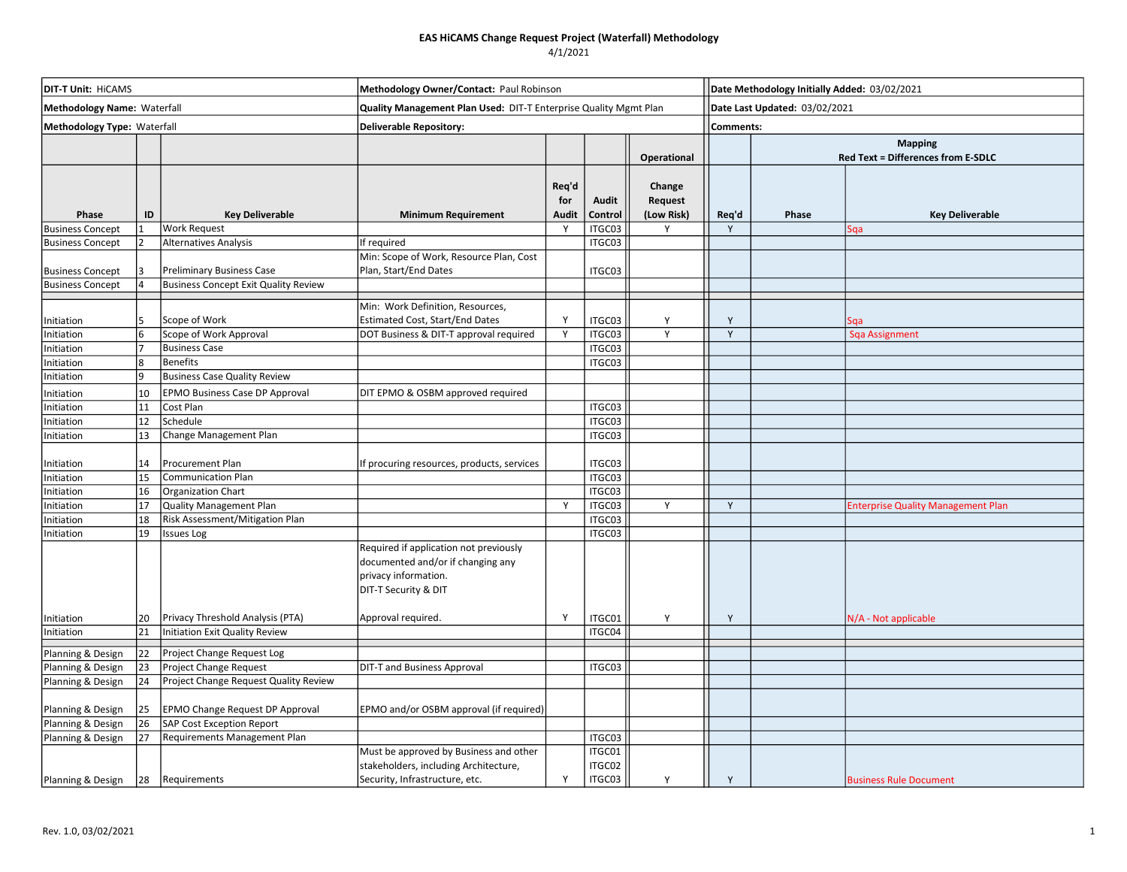| <b>DIT-T Unit: HICAMS</b>   |    |                                             | Methodology Owner/Contact: Paul Robinson                         |              |         |             |           | Date Methodology Initially Added: 03/02/2021 |                                           |  |  |
|-----------------------------|----|---------------------------------------------|------------------------------------------------------------------|--------------|---------|-------------|-----------|----------------------------------------------|-------------------------------------------|--|--|
| Methodology Name: Waterfall |    |                                             | Quality Management Plan Used: DIT-T Enterprise Quality Mgmt Plan |              |         |             |           | Date Last Updated: 03/02/2021                |                                           |  |  |
| Methodology Type: Waterfall |    |                                             | <b>Deliverable Repository:</b>                                   |              |         |             | Comments: |                                              |                                           |  |  |
|                             |    |                                             |                                                                  |              |         |             |           | <b>Mapping</b>                               |                                           |  |  |
|                             |    |                                             |                                                                  |              |         | Operational |           |                                              | Red Text = Differences from E-SDLC        |  |  |
|                             |    |                                             |                                                                  |              |         |             |           |                                              |                                           |  |  |
|                             |    |                                             |                                                                  | Req'd        |         | Change      |           |                                              |                                           |  |  |
|                             |    |                                             |                                                                  | for          | Audit   | Request     |           |                                              |                                           |  |  |
| Phase                       | ID | <b>Key Deliverable</b>                      | <b>Minimum Requirement</b>                                       | <b>Audit</b> | Control | (Low Risk)  | Req'd     | Phase                                        | <b>Key Deliverable</b>                    |  |  |
| <b>Business Concept</b>     |    | <b>Work Request</b>                         |                                                                  | <sup>V</sup> | ITGC03  |             | Y         |                                              | Sqa                                       |  |  |
| <b>Business Concept</b>     |    | <b>Alternatives Analysis</b>                | If required                                                      |              | ITGC03  |             |           |                                              |                                           |  |  |
|                             |    |                                             | Min: Scope of Work, Resource Plan, Cost                          |              |         |             |           |                                              |                                           |  |  |
| <b>Business Concept</b>     |    | <b>Preliminary Business Case</b>            | Plan, Start/End Dates                                            |              | ITGC03  |             |           |                                              |                                           |  |  |
| <b>Business Concept</b>     |    | <b>Business Concept Exit Quality Review</b> |                                                                  |              |         |             |           |                                              |                                           |  |  |
|                             |    |                                             | Min: Work Definition, Resources,                                 |              |         |             |           |                                              |                                           |  |  |
| Initiation                  |    | Scope of Work                               | <b>Estimated Cost, Start/End Dates</b>                           | Y            | ITGC03  | Y           | Y         |                                              | Sga                                       |  |  |
| Initiation                  |    | Scope of Work Approval                      | DOT Business & DIT-T approval required                           | Y            | ITGC03  | Y           | Y         |                                              | Sqa Assignment                            |  |  |
| Initiation                  |    | <b>Business Case</b>                        |                                                                  |              | ITGC03  |             |           |                                              |                                           |  |  |
| Initiation                  | 8  | Benefits                                    |                                                                  |              | ITGC03  |             |           |                                              |                                           |  |  |
| Initiation                  | q  | <b>Business Case Quality Review</b>         |                                                                  |              |         |             |           |                                              |                                           |  |  |
|                             | 10 | <b>EPMO Business Case DP Approval</b>       |                                                                  |              |         |             |           |                                              |                                           |  |  |
| nitiation                   | 11 | Cost Plan                                   | DIT EPMO & OSBM approved required                                |              | ITGC03  |             |           |                                              |                                           |  |  |
| Initiation<br>Initiation    | 12 | Schedule                                    |                                                                  |              | ITGC03  |             |           |                                              |                                           |  |  |
| Initiation                  | 13 | Change Management Plan                      |                                                                  |              | ITGC03  |             |           |                                              |                                           |  |  |
|                             |    |                                             |                                                                  |              |         |             |           |                                              |                                           |  |  |
| Initiation                  | 14 | Procurement Plan                            | If procuring resources, products, services                       |              | ITGC03  |             |           |                                              |                                           |  |  |
| Initiation                  | 15 | <b>Communication Plan</b>                   |                                                                  |              | ITGC03  |             |           |                                              |                                           |  |  |
| Initiation                  | 16 | <b>Organization Chart</b>                   |                                                                  |              | ITGC03  |             |           |                                              |                                           |  |  |
| Initiation                  | 17 | <b>Quality Management Plan</b>              |                                                                  | <b>V</b>     | ITGC03  | Y           | Y         |                                              | <b>Enterprise Quality Management Plan</b> |  |  |
| nitiation                   | 18 | Risk Assessment/Mitigation Plan             |                                                                  |              | ITGC03  |             |           |                                              |                                           |  |  |
| nitiation                   | 19 | <b>Issues Log</b>                           |                                                                  |              | ITGC03  |             |           |                                              |                                           |  |  |
|                             |    |                                             | Required if application not previously                           |              |         |             |           |                                              |                                           |  |  |
|                             |    |                                             | documented and/or if changing any                                |              |         |             |           |                                              |                                           |  |  |
|                             |    |                                             | privacy information.                                             |              |         |             |           |                                              |                                           |  |  |
|                             |    |                                             | DIT-T Security & DIT                                             |              |         |             |           |                                              |                                           |  |  |
|                             |    |                                             |                                                                  |              |         |             |           |                                              |                                           |  |  |
| Initiation                  | 20 | Privacy Threshold Analysis (PTA)            | Approval required.                                               | Y            | ITGC01  | Y           | Y         |                                              | N/A - Not applicable                      |  |  |
| Initiation                  | 21 | Initiation Exit Quality Review              |                                                                  |              | ITGC04  |             |           |                                              |                                           |  |  |
|                             |    |                                             |                                                                  |              |         |             |           |                                              |                                           |  |  |
| Planning & Design           | 22 | Project Change Request Log                  |                                                                  |              |         |             |           |                                              |                                           |  |  |
| Planning & Design           | 23 | Project Change Request                      | <b>DIT-T and Business Approval</b>                               |              | ITGC03  |             |           |                                              |                                           |  |  |
| Planning & Design           | 24 | Project Change Request Quality Review       |                                                                  |              |         |             |           |                                              |                                           |  |  |
|                             |    |                                             |                                                                  |              |         |             |           |                                              |                                           |  |  |
| Planning & Design           | 25 | <b>EPMO Change Request DP Approval</b>      | EPMO and/or OSBM approval (if required)                          |              |         |             |           |                                              |                                           |  |  |
| Planning & Design           | 26 | <b>SAP Cost Exception Report</b>            |                                                                  |              |         |             |           |                                              |                                           |  |  |
| Planning & Design           | 27 | Requirements Management Plan                |                                                                  |              | ITGC03  |             |           |                                              |                                           |  |  |
|                             |    |                                             | Must be approved by Business and other                           |              | ITGC01  |             |           |                                              |                                           |  |  |
|                             |    |                                             | stakeholders, including Architecture,                            | Y            | ITGC02  |             |           |                                              |                                           |  |  |
| Planning & Design           | 28 | Requirements                                | Security, Infrastructure, etc.                                   |              | ITGC03  | Y           | Y         |                                              | <b>Business Rule Document</b>             |  |  |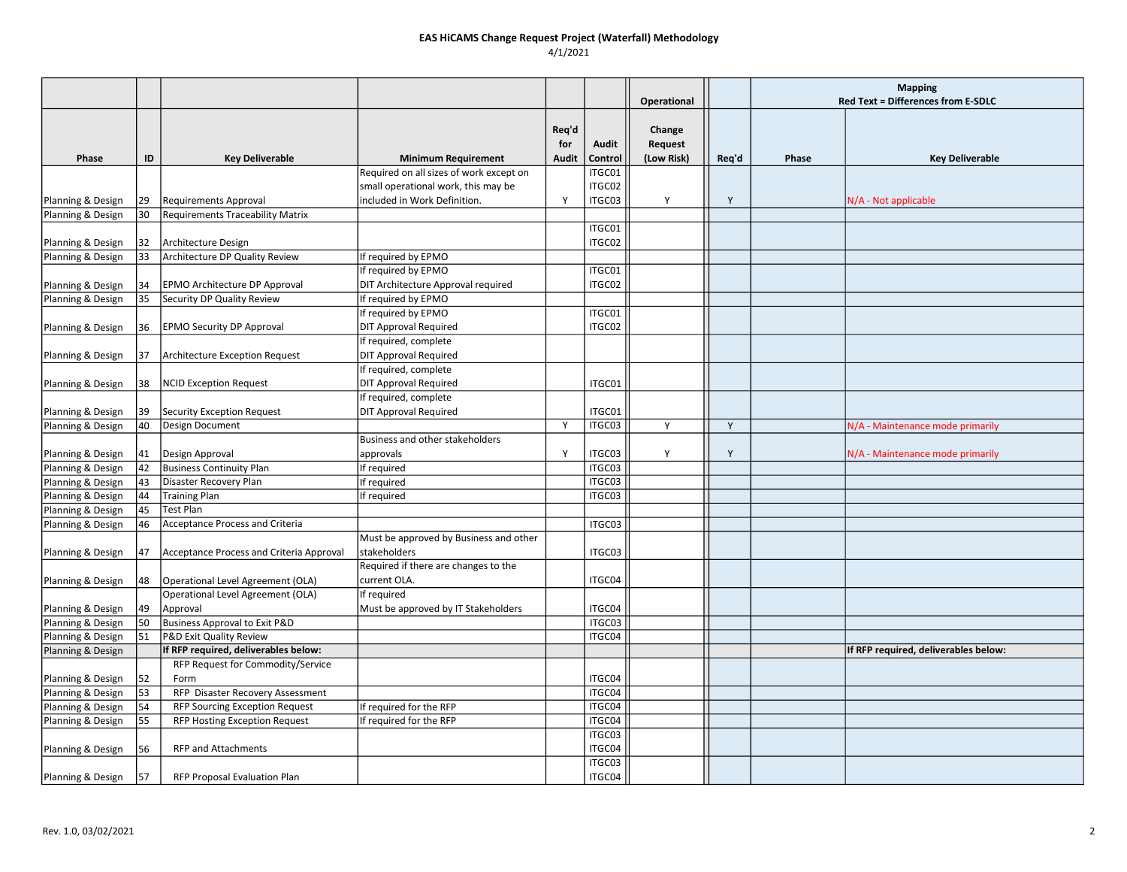|                                        |    |                                          |                                                                                |              |                   |             |       | <b>Mapping</b> |                                      |
|----------------------------------------|----|------------------------------------------|--------------------------------------------------------------------------------|--------------|-------------------|-------------|-------|----------------|--------------------------------------|
|                                        |    |                                          |                                                                                |              |                   | Operational |       |                | Red Text = Differences from E-SDLC   |
|                                        |    |                                          |                                                                                |              |                   |             |       |                |                                      |
|                                        |    |                                          |                                                                                | Req'd        |                   | Change      |       |                |                                      |
|                                        |    |                                          |                                                                                | for          | Audit             | Request     |       |                |                                      |
| Phase                                  | ID | <b>Key Deliverable</b>                   | <b>Minimum Requirement</b>                                                     | Audit        | Control<br>ITGC01 | (Low Risk)  | Req'd | <b>Phase</b>   | <b>Key Deliverable</b>               |
|                                        |    |                                          | Required on all sizes of work except on<br>small operational work, this may be |              | ITGC02            |             |       |                |                                      |
|                                        | 29 | <b>Requirements Approval</b>             | included in Work Definition.                                                   | $\mathbf{v}$ | ITGC03            | Y           | Y     |                |                                      |
| Planning & Design<br>Planning & Design | 30 | <b>Requirements Traceability Matrix</b>  |                                                                                |              |                   |             |       |                | N/A - Not applicable                 |
|                                        |    |                                          |                                                                                |              | ITGC01            |             |       |                |                                      |
| Planning & Design                      | 32 | Architecture Design                      |                                                                                |              | ITGC02            |             |       |                |                                      |
| Planning & Design                      | 33 | Architecture DP Quality Review           | If required by EPMO                                                            |              |                   |             |       |                |                                      |
|                                        |    |                                          | If required by EPMO                                                            |              | ITGC01            |             |       |                |                                      |
| Planning & Design                      | 34 | <b>EPMO Architecture DP Approval</b>     | DIT Architecture Approval required                                             |              | ITGC02            |             |       |                |                                      |
| Planning & Design                      | 35 | Security DP Quality Review               | If required by EPMO                                                            |              |                   |             |       |                |                                      |
|                                        |    |                                          | If required by EPMO                                                            |              | ITGC01            |             |       |                |                                      |
| Planning & Design                      | 36 | <b>EPMO Security DP Approval</b>         | <b>DIT Approval Required</b>                                                   |              | ITGC02            |             |       |                |                                      |
|                                        |    |                                          | If required, complete                                                          |              |                   |             |       |                |                                      |
| Planning & Design                      | 37 | Architecture Exception Request           | <b>DIT Approval Required</b>                                                   |              |                   |             |       |                |                                      |
|                                        |    |                                          | If required, complete                                                          |              |                   |             |       |                |                                      |
| Planning & Design                      | 38 | <b>NCID Exception Request</b>            | <b>DIT Approval Required</b>                                                   |              | ITGC01            |             |       |                |                                      |
|                                        |    |                                          | If required, complete                                                          |              |                   |             |       |                |                                      |
| Planning & Design                      | 39 | Security Exception Request               | <b>DIT Approval Required</b>                                                   |              | ITGC01            |             |       |                |                                      |
| Planning & Design                      | 40 | Design Document                          |                                                                                | Y            | ITGC03            | Y           | Y     |                | N/A - Maintenance mode primarily     |
|                                        |    |                                          | Business and other stakeholders                                                |              |                   |             |       |                |                                      |
| Planning & Design                      | 41 | Design Approval                          | approvals                                                                      | $\mathbf{v}$ | ITGC03            | Y           | Y     |                | N/A - Maintenance mode primarily     |
| Planning & Design                      | 42 | <b>Business Continuity Plan</b>          | If required                                                                    |              | ITGC03            |             |       |                |                                      |
| Planning & Design                      | 43 | Disaster Recovery Plan                   | If required                                                                    |              | ITGC03            |             |       |                |                                      |
| Planning & Design                      | 44 | Training Plan                            | If required                                                                    |              | ITGC03            |             |       |                |                                      |
| Planning & Design                      | 45 | Test Plan                                |                                                                                |              |                   |             |       |                |                                      |
| Planning & Design                      | 46 | Acceptance Process and Criteria          |                                                                                |              | ITGC03            |             |       |                |                                      |
|                                        |    |                                          | Must be approved by Business and other                                         |              |                   |             |       |                |                                      |
| Planning & Design                      | 47 | Acceptance Process and Criteria Approval | stakeholders                                                                   |              | ITGC03            |             |       |                |                                      |
|                                        |    |                                          | Required if there are changes to the                                           |              |                   |             |       |                |                                      |
| Planning & Design                      | 48 | Operational Level Agreement (OLA)        | current OLA.                                                                   |              | ITGC04            |             |       |                |                                      |
|                                        |    | Operational Level Agreement (OLA)        | If required                                                                    |              |                   |             |       |                |                                      |
| Planning & Design                      | 49 | Approval                                 | Must be approved by IT Stakeholders                                            |              | ITGC04            |             |       |                |                                      |
| Planning & Design                      | 50 | Business Approval to Exit P&D            |                                                                                |              | ITGC03            |             |       |                |                                      |
| Planning & Design                      | 51 | P&D Exit Quality Review                  |                                                                                |              | ITGC04            |             |       |                |                                      |
| Planning & Design                      |    | If RFP required, deliverables below:     |                                                                                |              |                   |             |       |                | If RFP required, deliverables below: |
|                                        | 52 | RFP Request for Commodity/Service        |                                                                                |              |                   |             |       |                |                                      |
| Planning & Design<br>Planning & Design | 53 | Form<br>RFP Disaster Recovery Assessment |                                                                                |              | ITGC04<br>ITGC04  |             |       |                |                                      |
| Planning & Design                      | 54 | RFP Sourcing Exception Request           | If required for the RFP                                                        |              | ITGC04            |             |       |                |                                      |
| Planning & Design                      | 55 | <b>RFP Hosting Exception Request</b>     | If required for the RFP                                                        |              | ITGC04            |             |       |                |                                      |
|                                        |    |                                          |                                                                                |              | ITGC03            |             |       |                |                                      |
| Planning & Design                      | 56 | <b>RFP and Attachments</b>               |                                                                                |              | ITGC04            |             |       |                |                                      |
|                                        |    |                                          |                                                                                |              | ITGC03            |             |       |                |                                      |
| Planning & Design                      | 57 | <b>RFP Proposal Evaluation Plan</b>      |                                                                                |              | ITGC04            |             |       |                |                                      |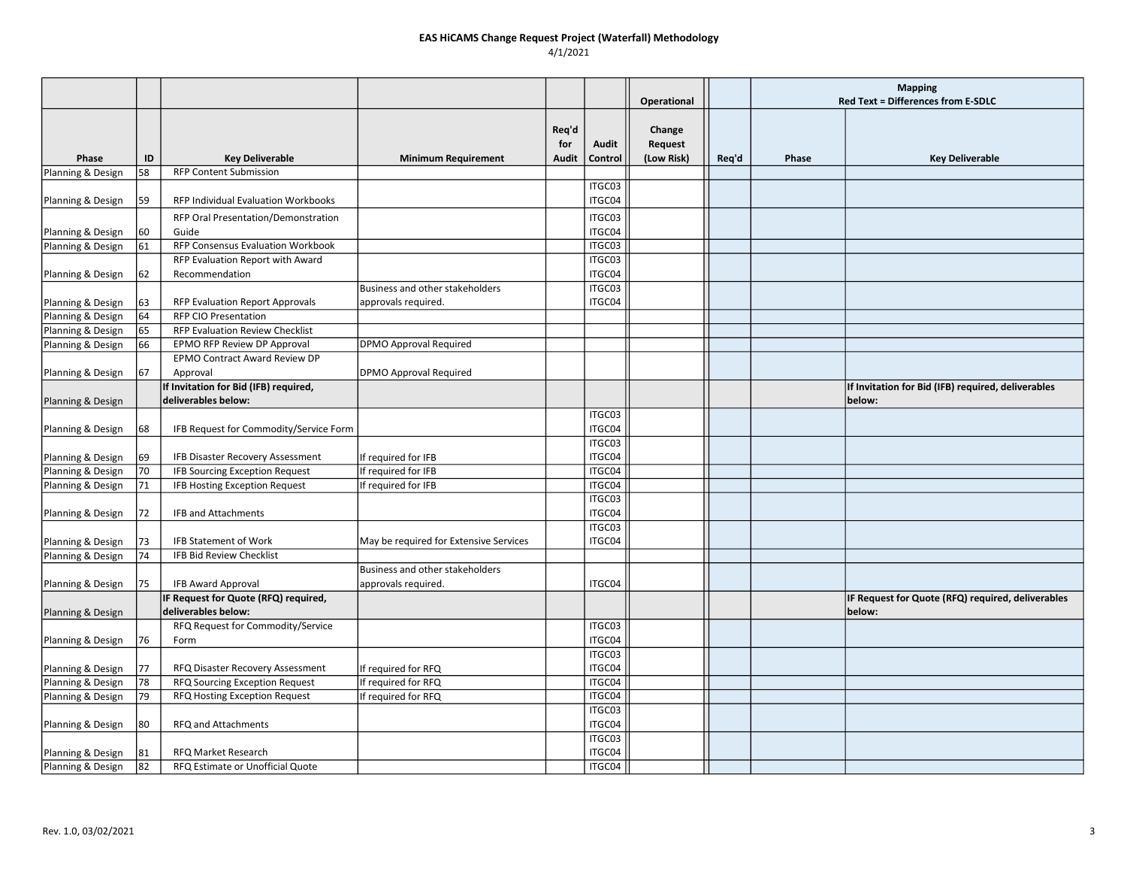|                                        |          |                                                                        |                                            |       |                  |             |       | <b>Mapping</b> |                                                    |
|----------------------------------------|----------|------------------------------------------------------------------------|--------------------------------------------|-------|------------------|-------------|-------|----------------|----------------------------------------------------|
|                                        |          |                                                                        |                                            |       |                  | Operational |       |                | Red Text = Differences from E-SDLC                 |
|                                        |          |                                                                        |                                            | Req'd |                  | Change      |       |                |                                                    |
|                                        |          |                                                                        |                                            | for   | Audit            | Request     |       |                |                                                    |
| Phase                                  | ID       | <b>Key Deliverable</b>                                                 | <b>Minimum Requirement</b>                 | Audit | Control          | (Low Risk)  | Req'd | Phase          | <b>Key Deliverable</b>                             |
| Planning & Design                      | 58       | <b>RFP Content Submission</b>                                          |                                            |       |                  |             |       |                |                                                    |
|                                        |          |                                                                        |                                            |       | ITGC03           |             |       |                |                                                    |
| Planning & Design                      | 59       | RFP Individual Evaluation Workbooks                                    |                                            |       | ITGC04           |             |       |                |                                                    |
|                                        |          | RFP Oral Presentation/Demonstration                                    |                                            |       | ITGC03           |             |       |                |                                                    |
| Planning & Design                      | 60       | Guide                                                                  |                                            |       | ITGC04           |             |       |                |                                                    |
| Planning & Design                      | 61       | RFP Consensus Evaluation Workbook                                      |                                            |       | ITGC03           |             |       |                |                                                    |
|                                        |          | RFP Evaluation Report with Award                                       |                                            |       | ITGC03           |             |       |                |                                                    |
| Planning & Design                      | 62       | Recommendation                                                         |                                            |       | ITGC04           |             |       |                |                                                    |
|                                        |          |                                                                        | Business and other stakeholders            |       | ITGC03           |             |       |                |                                                    |
| Planning & Design                      | 63       | RFP Evaluation Report Approvals                                        | approvals required.                        |       | ITGC04           |             |       |                |                                                    |
| Planning & Design                      | 64       | <b>RFP CIO Presentation</b>                                            |                                            |       |                  |             |       |                |                                                    |
| Planning & Design                      | 65       | RFP Evaluation Review Checklist                                        |                                            |       |                  |             |       |                |                                                    |
| Planning & Design                      | 66       | EPMO RFP Review DP Approval                                            | DPMO Approval Required                     |       |                  |             |       |                |                                                    |
|                                        |          | EPMO Contract Award Review DP                                          |                                            |       |                  |             |       |                |                                                    |
| Planning & Design                      | 67       | Approval                                                               | DPMO Approval Required                     |       |                  |             |       |                |                                                    |
|                                        |          | If Invitation for Bid (IFB) required,                                  |                                            |       |                  |             |       |                | If Invitation for Bid (IFB) required, deliverables |
| Planning & Design                      |          | deliverables below:                                                    |                                            |       |                  |             |       |                | below:                                             |
|                                        |          |                                                                        |                                            |       | ITGC03           |             |       |                |                                                    |
| Planning & Design                      | 68       | IFB Request for Commodity/Service Form                                 |                                            |       | ITGC04           |             |       |                |                                                    |
|                                        |          |                                                                        |                                            |       | ITGC03           |             |       |                |                                                    |
| Planning & Design                      | 69<br>70 | IFB Disaster Recovery Assessment                                       | If required for IFB                        |       | ITGC04<br>ITGC04 |             |       |                |                                                    |
| Planning & Design<br>Planning & Design | 71       | <b>IFB Sourcing Exception Request</b><br>IFB Hosting Exception Request | If required for IFB<br>If required for IFB |       | ITGC04           |             |       |                |                                                    |
|                                        |          |                                                                        |                                            |       | ITGC03           |             |       |                |                                                    |
| Planning & Design                      | 72       | IFB and Attachments                                                    |                                            |       | ITGC04           |             |       |                |                                                    |
|                                        |          |                                                                        |                                            |       | ITGC03           |             |       |                |                                                    |
| Planning & Design                      | 73       | <b>IFB Statement of Work</b>                                           | May be required for Extensive Services     |       | ITGC04           |             |       |                |                                                    |
| Planning & Design                      | 74       | <b>IFB Bid Review Checklist</b>                                        |                                            |       |                  |             |       |                |                                                    |
|                                        |          |                                                                        | Business and other stakeholders            |       |                  |             |       |                |                                                    |
| Planning & Design                      | 75       | <b>IFB Award Approval</b>                                              | approvals required.                        |       | ITGC04           |             |       |                |                                                    |
|                                        |          | IF Request for Quote (RFQ) required,                                   |                                            |       |                  |             |       |                | IF Request for Quote (RFQ) required, deliverables  |
| Planning & Design                      |          | deliverables below:                                                    |                                            |       |                  |             |       |                | below:                                             |
|                                        |          | RFQ Request for Commodity/Service                                      |                                            |       | ITGC03           |             |       |                |                                                    |
| Planning & Design                      | 76       | Form                                                                   |                                            |       | ITGC04           |             |       |                |                                                    |
|                                        |          |                                                                        |                                            |       | ITGC03           |             |       |                |                                                    |
| Planning & Design                      | 77       | RFQ Disaster Recovery Assessment                                       | If required for RFQ                        |       | ITGC04           |             |       |                |                                                    |
| Planning & Design                      | 78       | RFQ Sourcing Exception Request                                         | If required for RFQ                        |       | ITGC04           |             |       |                |                                                    |
| Planning & Design                      | 79       | RFQ Hosting Exception Request                                          | If required for RFQ                        |       | ITGC04           |             |       |                |                                                    |
|                                        |          |                                                                        |                                            |       | ITGC03           |             |       |                |                                                    |
| Planning & Design                      | 80       | RFQ and Attachments                                                    |                                            |       | ITGC04           |             |       |                |                                                    |
|                                        |          |                                                                        |                                            |       | ITGC03           |             |       |                |                                                    |
| Planning & Design                      | 81       | RFQ Market Research                                                    |                                            |       | ITGC04           |             |       |                |                                                    |
| Planning & Design                      | 82       | RFQ Estimate or Unofficial Quote                                       |                                            |       | ITGC04           |             |       |                |                                                    |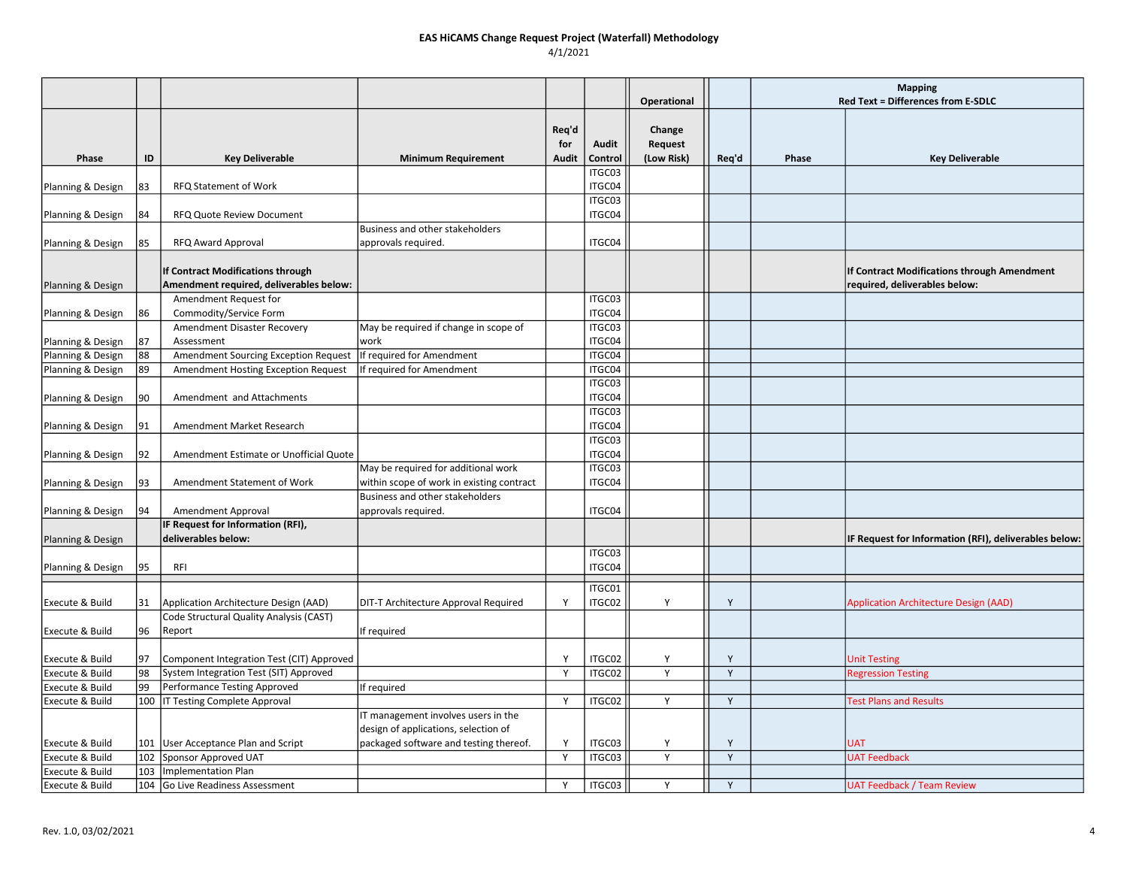|                   |     |                                                                              |                                                                             |                              |                  |                                 |       | <b>Mapping</b>                     |                                                                              |
|-------------------|-----|------------------------------------------------------------------------------|-----------------------------------------------------------------------------|------------------------------|------------------|---------------------------------|-------|------------------------------------|------------------------------------------------------------------------------|
|                   |     |                                                                              |                                                                             |                              |                  | Operational                     |       | Red Text = Differences from E-SDLC |                                                                              |
| Phase             | ID  | <b>Key Deliverable</b>                                                       | <b>Minimum Requirement</b>                                                  | Req'd<br>for<br><b>Audit</b> | Audit<br>Control | Change<br>Request<br>(Low Risk) | Req'd | Phase                              | <b>Key Deliverable</b>                                                       |
|                   |     |                                                                              |                                                                             |                              | ITGC03           |                                 |       |                                    |                                                                              |
| Planning & Design | 83  | RFQ Statement of Work                                                        |                                                                             |                              | ITGC04           |                                 |       |                                    |                                                                              |
|                   |     |                                                                              |                                                                             |                              | ITGC03           |                                 |       |                                    |                                                                              |
| Planning & Design | 84  | <b>RFQ Quote Review Document</b>                                             |                                                                             |                              | ITGC04           |                                 |       |                                    |                                                                              |
|                   |     |                                                                              | Business and other stakeholders                                             |                              |                  |                                 |       |                                    |                                                                              |
| Planning & Design | 85  | <b>RFQ Award Approval</b>                                                    | approvals required.                                                         |                              | ITGC04           |                                 |       |                                    |                                                                              |
| Planning & Design |     | If Contract Modifications through<br>Amendment required, deliverables below: |                                                                             |                              |                  |                                 |       |                                    | If Contract Modifications through Amendment<br>required, deliverables below: |
|                   |     | Amendment Request for                                                        |                                                                             |                              | ITGC03           |                                 |       |                                    |                                                                              |
| Planning & Design | 86  | Commodity/Service Form                                                       |                                                                             |                              | ITGC04<br>ITGC03 |                                 |       |                                    |                                                                              |
| Planning & Design | 87  | Amendment Disaster Recovery<br>Assessment                                    | May be required if change in scope of<br>work                               |                              | ITGC04           |                                 |       |                                    |                                                                              |
| Planning & Design | 88  | Amendment Sourcing Exception Request                                         | If required for Amendment                                                   |                              | ITGC04           |                                 |       |                                    |                                                                              |
| Planning & Design | 89  | Amendment Hosting Exception Request                                          | If required for Amendment                                                   |                              | ITGC04           |                                 |       |                                    |                                                                              |
|                   |     |                                                                              |                                                                             |                              | ITGC03           |                                 |       |                                    |                                                                              |
| Planning & Design | 90  | Amendment and Attachments                                                    |                                                                             |                              | ITGC04           |                                 |       |                                    |                                                                              |
|                   |     |                                                                              |                                                                             |                              | ITGC03           |                                 |       |                                    |                                                                              |
| Planning & Design | 91  | Amendment Market Research                                                    |                                                                             |                              | ITGC04           |                                 |       |                                    |                                                                              |
|                   |     |                                                                              |                                                                             |                              | ITGC03           |                                 |       |                                    |                                                                              |
| Planning & Design | 92  | Amendment Estimate or Unofficial Quote                                       | May be required for additional work                                         |                              | ITGC04<br>ITGC03 |                                 |       |                                    |                                                                              |
| Planning & Design | 93  | Amendment Statement of Work                                                  | within scope of work in existing contract                                   |                              | ITGC04           |                                 |       |                                    |                                                                              |
|                   |     |                                                                              | Business and other stakeholders                                             |                              |                  |                                 |       |                                    |                                                                              |
| Planning & Design | 94  | Amendment Approval                                                           | approvals required.                                                         |                              | ITGC04           |                                 |       |                                    |                                                                              |
|                   |     | IF Request for Information (RFI),                                            |                                                                             |                              |                  |                                 |       |                                    |                                                                              |
| Planning & Design |     | deliverables below:                                                          |                                                                             |                              |                  |                                 |       |                                    | IF Request for Information (RFI), deliverables below:                        |
| Planning & Design | 95  | RFI                                                                          |                                                                             |                              | ITGC03<br>ITGC04 |                                 |       |                                    |                                                                              |
| Execute & Build   | 31  | Application Architecture Design (AAD)                                        | DIT-T Architecture Approval Required                                        | Y                            | ITGC01<br>ITGC02 | Y                               | Y     |                                    | <b>Application Architecture Design (AAD)</b>                                 |
| Execute & Build   | 96  | Code Structural Quality Analysis (CAST)<br>Report                            | If required                                                                 |                              |                  |                                 |       |                                    |                                                                              |
| Execute & Build   | 97  | Component Integration Test (CIT) Approved                                    |                                                                             | <b>V</b>                     | ITGC02           | Υ                               | Y     |                                    | <b>Unit Testing</b>                                                          |
| Execute & Build   | 98  | System Integration Test (SIT) Approved                                       |                                                                             | Y                            | ITGC02           | Y                               | Y     |                                    | <b>Regression Testing</b>                                                    |
| Execute & Build   | 99  | Performance Testing Approved                                                 | If required                                                                 |                              |                  |                                 |       |                                    |                                                                              |
| Execute & Build   | 100 | <b>IT Testing Complete Approval</b>                                          |                                                                             | Y                            | ITGC02           | Y                               | Y     |                                    | <b>Test Plans and Results</b>                                                |
|                   |     |                                                                              | IT management involves users in the<br>design of applications, selection of |                              |                  |                                 |       |                                    |                                                                              |
| Execute & Build   |     | 101 User Acceptance Plan and Script                                          | packaged software and testing thereof.                                      | Y                            | ITGC03           | Y                               | Y     |                                    | <b>UAT</b>                                                                   |
| Execute & Build   | 102 | Sponsor Approved UAT                                                         |                                                                             | Y                            | ITGC03           | Y                               | Y     |                                    | <b>UAT Feedback</b>                                                          |
| Execute & Build   | 103 | Implementation Plan                                                          |                                                                             |                              |                  |                                 |       |                                    |                                                                              |
| Execute & Build   |     | 104 Go Live Readiness Assessment                                             |                                                                             | Υ                            | ITGC03           | Y                               | Y     |                                    | <b>UAT Feedback / Team Review</b>                                            |